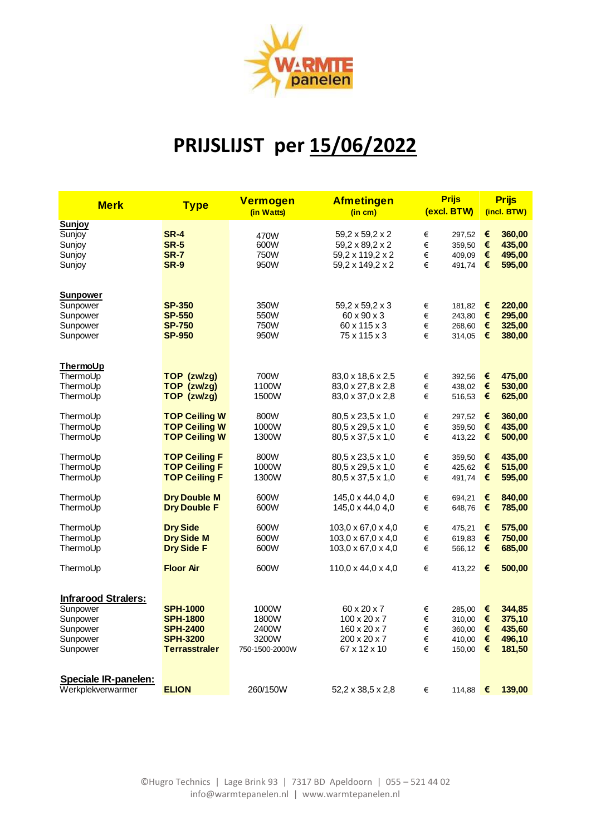

## **PRIJSLIJST per 15/06/2022**

| <b>Merk</b>                                                                            | <b>Type</b>                                                                                      | <b>Vermogen</b><br>(in Watts)                      | <b>Afmetingen</b><br>(in cm)                                                            |                       | <b>Prijs</b><br>(excl. BTW)                    |                                      | <b>Prijs</b><br>(incl. BTW)                    |  |
|----------------------------------------------------------------------------------------|--------------------------------------------------------------------------------------------------|----------------------------------------------------|-----------------------------------------------------------------------------------------|-----------------------|------------------------------------------------|--------------------------------------|------------------------------------------------|--|
| Sunjoy<br>Sunjoy<br>Sunjoy<br>Sunjoy<br>Sunjoy                                         | <b>SR-4</b><br><b>SR-5</b><br><b>SR-7</b><br><b>SR-9</b>                                         | 470W<br>600W<br>750W<br>950W                       | 59,2 x 59,2 x 2<br>59,2 x 89,2 x 2<br>59,2 x 119,2 x 2<br>59,2 x 149,2 x 2              | €<br>€<br>€<br>€      | 297,52<br>359,50<br>409,09<br>491,74           | €<br>$\epsilon$<br>€<br>€            | 360,00<br>435,00<br>495,00<br>595,00           |  |
| Sunpower<br>Sunpower<br>Sunpower<br>Sunpower<br>Sunpower                               | <b>SP-350</b><br><b>SP-550</b><br><b>SP-750</b><br><b>SP-950</b>                                 | 350W<br>550W<br>750W<br>950W                       | 59,2 x 59,2 x 3<br>60 x 90 x 3<br>60 x 115 x 3<br>75 x 115 x 3                          | €<br>€<br>€<br>€      | 181,82<br>243,80<br>268,60<br>314,05           | €<br>€<br>$\epsilon$<br>€            | 220,00<br>295,00<br>325,00<br>380,00           |  |
| ThermoUp<br>ThermoUp<br>ThermoUp<br>ThermoUp                                           | TOP (zw/zq)<br>TOP (zw/zg)<br>TOP (zw/zg)                                                        | 700W<br>1100W<br>1500W                             | 83,0 x 18,6 x 2,5<br>83,0 x 27,8 x 2,8<br>83,0 x 37,0 x 2,8                             | €<br>€<br>€           | 392,56<br>438,02<br>516,53                     | €<br>$\epsilon$<br>€                 | 475,00<br>530,00<br>625,00                     |  |
| ThermoUp<br>ThermoUp<br>ThermoUp                                                       | <b>TOP Ceiling W</b><br><b>TOP Ceiling W</b><br><b>TOP Ceiling W</b>                             | 800W<br>1000W<br>1300W                             | 80,5 x 23,5 x 1,0<br>80,5 x 29,5 x 1,0<br>80,5 x 37,5 x 1,0                             | €<br>€<br>€           | 297,52<br>359,50<br>413,22                     | €<br>$\epsilon$<br>€                 | 360,00<br>435,00<br>500,00                     |  |
| ThermoUp<br>ThermoUp<br>ThermoUp                                                       | <b>TOP Ceiling F</b><br><b>TOP Ceiling F</b><br><b>TOP Ceiling F</b>                             | 800W<br>1000W<br>1300W                             | 80,5 x 23,5 x 1,0<br>80,5 x 29,5 x 1,0<br>80,5 x 37,5 x 1,0                             | €<br>€<br>€           | 359,50<br>425,62<br>491,74                     | €<br>$\epsilon$<br>€                 | 435,00<br>515,00<br>595,00                     |  |
| ThermoUp<br>ThermoUp                                                                   | <b>Dry Double M</b><br><b>Dry Double F</b>                                                       | 600W<br>600W                                       | 145,0 x 44,0 4,0<br>145,0 x 44,0 4,0                                                    | €<br>€                | 694,21<br>648,76                               | €<br>€                               | 840,00<br>785,00                               |  |
| ThermoUp<br>ThermoUp<br>ThermoUp                                                       | <b>Dry Side</b><br><b>Dry Side M</b><br><b>Dry Side F</b>                                        | 600W<br>600W<br>600W                               | 103,0 x 67,0 x 4,0<br>103,0 x 67,0 x 4,0<br>103,0 x 67,0 x 4,0                          | €<br>€<br>€           | 475,21<br>619,83<br>566,12                     | €<br>€<br>€                          | 575,00<br>750,00<br>685,00                     |  |
| ThermoUp                                                                               | <b>Floor Air</b>                                                                                 | 600W                                               | $110.0 \times 44.0 \times 4.0$                                                          | €                     | 413,22                                         | €                                    | 500,00                                         |  |
| <b>Infrarood Stralers:</b><br>Sunpower<br>Sunpower<br>Sunpower<br>Sunpower<br>Sunpower | <b>SPH-1000</b><br><b>SPH-1800</b><br><b>SPH-2400</b><br><b>SPH-3200</b><br><b>Terrasstraler</b> | 1000W<br>1800W<br>2400W<br>3200W<br>750-1500-2000W | 60 x 20 x 7<br>$100 \times 20 \times 7$<br>160 x 20 x 7<br>200 x 20 x 7<br>67 x 12 x 10 | €<br>€<br>€<br>€<br>€ | 285,00<br>310,00<br>360,00<br>410,00<br>150,00 | €<br>€<br>€<br>€<br>$\pmb{\epsilon}$ | 344,85<br>375,10<br>435,60<br>496,10<br>181,50 |  |
| <b>Speciale IR-panelen:</b><br>Werkplekverwarmer                                       | <b>ELION</b>                                                                                     | 260/150W                                           | 52,2 x 38,5 x 2,8                                                                       | €                     | 114,88                                         | €                                    | 139,00                                         |  |